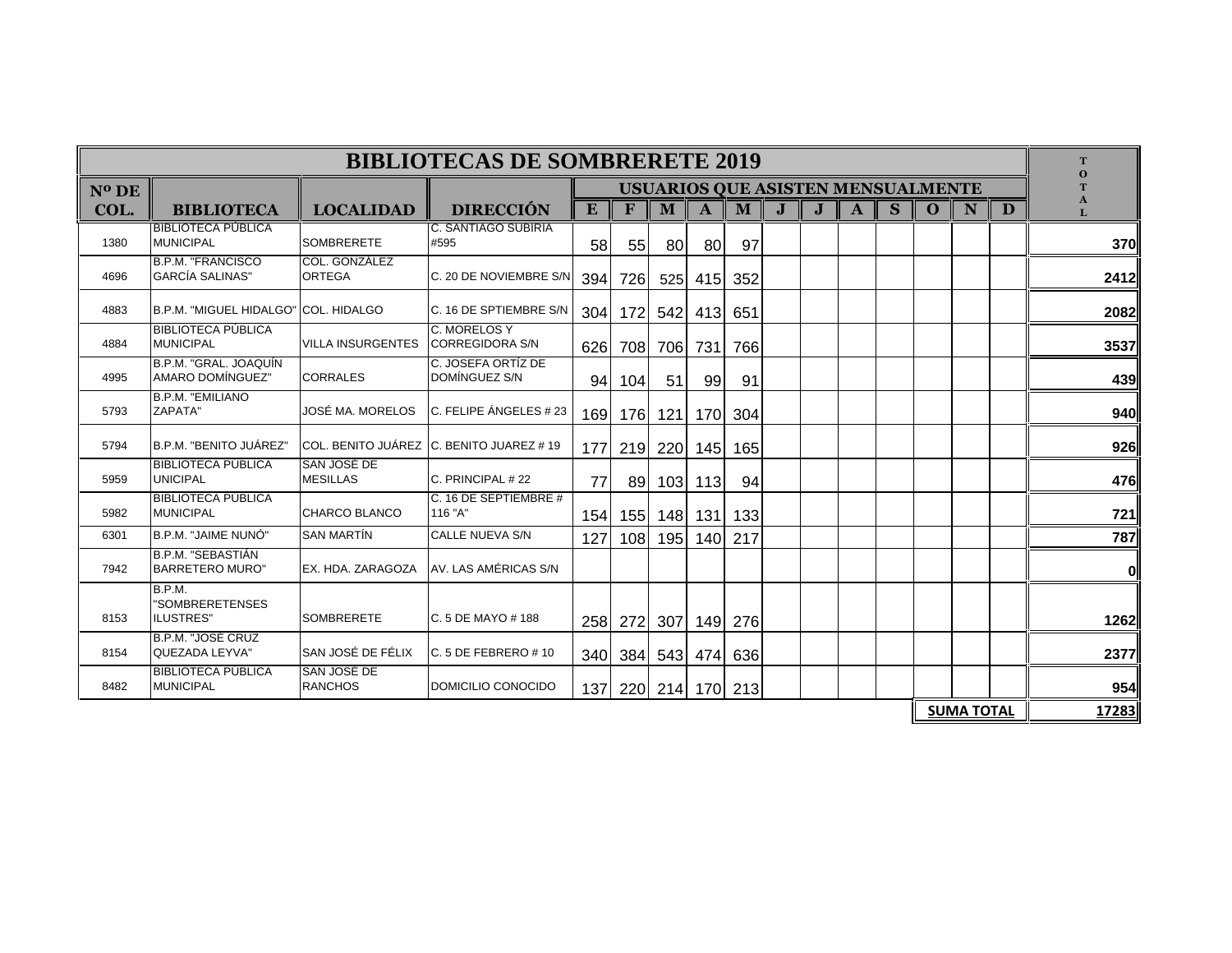| T<br>$\Omega$ | <b>BIBLIOTECAS DE SOMBRERETE 2019</b> |                   |          |                                          |              |   |  |         |              |           |         |     |                                            |                                       |                                               |          |  |  |  |  |
|---------------|---------------------------------------|-------------------|----------|------------------------------------------|--------------|---|--|---------|--------------|-----------|---------|-----|--------------------------------------------|---------------------------------------|-----------------------------------------------|----------|--|--|--|--|
|               |                                       |                   |          | <b>USUARIOS QUE ASISTEN MENSUALMENTE</b> |              |   |  |         |              |           |         |     |                                            |                                       |                                               | $N^o$ DE |  |  |  |  |
| A<br>L        | D                                     | N                 | $\Omega$ | S                                        | $\mathbf{A}$ | J |  | M       | $\mathbf{A}$ | M         | F       | E   | <b>DIRECCIÓN</b>                           | <b>LOCALIDAD</b>                      | COL.<br><b>BIBLIOTECA</b>                     |          |  |  |  |  |
| 370           |                                       |                   |          |                                          |              |   |  | 97      | 80           | <b>80</b> | 55      | 58  | <b>C. SANTIAGO SUBIRIA</b><br>#595         | <b>SOMBRERETE</b>                     | <b>BIBLIOTECA PUBLICA</b><br><b>MUNICIPAL</b> | 1380     |  |  |  |  |
| 2412          |                                       |                   |          |                                          |              |   |  | 352     | 415          | 525       | 726     | 394 | C. 20 DE NOVIEMBRE S/N                     | COL. GONZÁLEZ<br><b>ORTEGA</b>        | B.P.M. "FRANCISCO<br><b>GARCÍA SALINAS"</b>   | 4696     |  |  |  |  |
| 2082          |                                       |                   |          |                                          |              |   |  | 651     | 413          | 542       | 172     | 304 | C. 16 DE SPTIEMBRE S/N                     |                                       | B.P.M. "MIGUEL HIDALGO" COL. HIDALGO          | 4883     |  |  |  |  |
| 3537          |                                       |                   |          |                                          |              |   |  | 766     | 731          | 706       | 708     | 626 | C. MORELOS Y<br><b>CORREGIDORA S/N</b>     | VILLA INSURGENTES                     | <b>BIBLIOTECA PÚBLICA</b><br><b>MUNICIPAL</b> | 4884     |  |  |  |  |
| 439           |                                       |                   |          |                                          |              |   |  | 91      | 99           | 51        | 104     | 94  | C. JOSEFA ORTIZ DE<br>DOMÍNGUEZ S/N        | <b>CORRALES</b>                       | B.P.M. "GRAL. JOAQUÍN<br>AMARO DOMÍNGUEZ"     | 4995     |  |  |  |  |
| 940           |                                       |                   |          |                                          |              |   |  | 304     | 170          | 121       | 176     | 169 | C. FELIPE ÁNGELES # 23                     | JOSÉ MA. MORELOS                      | B.P.M. "EMILIANO<br>ZAPATA"                   | 5793     |  |  |  |  |
| 926           |                                       |                   |          |                                          |              |   |  | 165     | 145          | 220       | 219     | 177 | ICOL. BENITO JUÁREZ IC. BENITO JUAREZ # 19 |                                       | B.P.M. "BENITO JUÁREZ"                        | 5794     |  |  |  |  |
| 476           |                                       |                   |          |                                          |              |   |  | 94      | 113          | 103       | 89      | 77  | C. PRINCIPAL # 22                          | <b>SAN JOSÉ DE</b><br><b>MESILLAS</b> | <b>BIBLIOTECA PÚBLICA</b><br><b>UNICIPAL</b>  | 5959     |  |  |  |  |
| 721           |                                       |                   |          |                                          |              |   |  | 133     | 148   131    |           | 155     | 154 | C. 16 DE SEPTIEMBRE #<br>116 "A"           | CHARCO BLANCO                         | <b>BIBLIOTECA PÚBLICA</b><br><b>MUNICIPAL</b> | 5982     |  |  |  |  |
| 787           |                                       |                   |          |                                          |              |   |  | 217     | 140          | 195       | 108     | 127 | <b>CALLE NUEVA S/N</b>                     | <b>SAN MARTÍN</b>                     | B.P.M. "JAIME NUNÓ"                           | 6301     |  |  |  |  |
| 0             |                                       |                   |          |                                          |              |   |  |         |              |           |         |     | AV. LAS AMÉRICAS S/N                       | <b>EX. HDA. ZARAGOZA</b>              | B.P.M. "SEBASTIÁN<br><b>BARRETERO MURO"</b>   | 7942     |  |  |  |  |
| 1262          |                                       |                   |          |                                          |              |   |  | 276     | 149          | 307       | 272     | 258 | $C.5$ DE MAYO #188                         | <b>SOMBRERETE</b>                     | B.P.M.<br>"SOMBRERETENSES<br>ILUSTRES"        | 8153     |  |  |  |  |
| 2377          |                                       |                   |          |                                          |              |   |  | 636     | 474          | 543       | 340 384 |     | C. 5 DE FEBRERO # 10                       | SAN JOSÉ DE FÉLIX                     | B.P.M. "JOSÉ CRUZ<br>QUEZADA LEYVA"           | 8154     |  |  |  |  |
| 954           |                                       |                   |          |                                          |              |   |  | 170 213 |              | 214       | 220     | 137 | DOMICILIO CONOCIDO                         | <b>SAN JOSÉ DE</b><br><b>RANCHOS</b>  | <b>BIBLIOTECA PÚBLICA</b><br><b>MUNICIPAL</b> | 8482     |  |  |  |  |
| 17283         |                                       | <b>SUMA TOTAL</b> |          |                                          |              |   |  |         |              |           |         |     |                                            |                                       |                                               |          |  |  |  |  |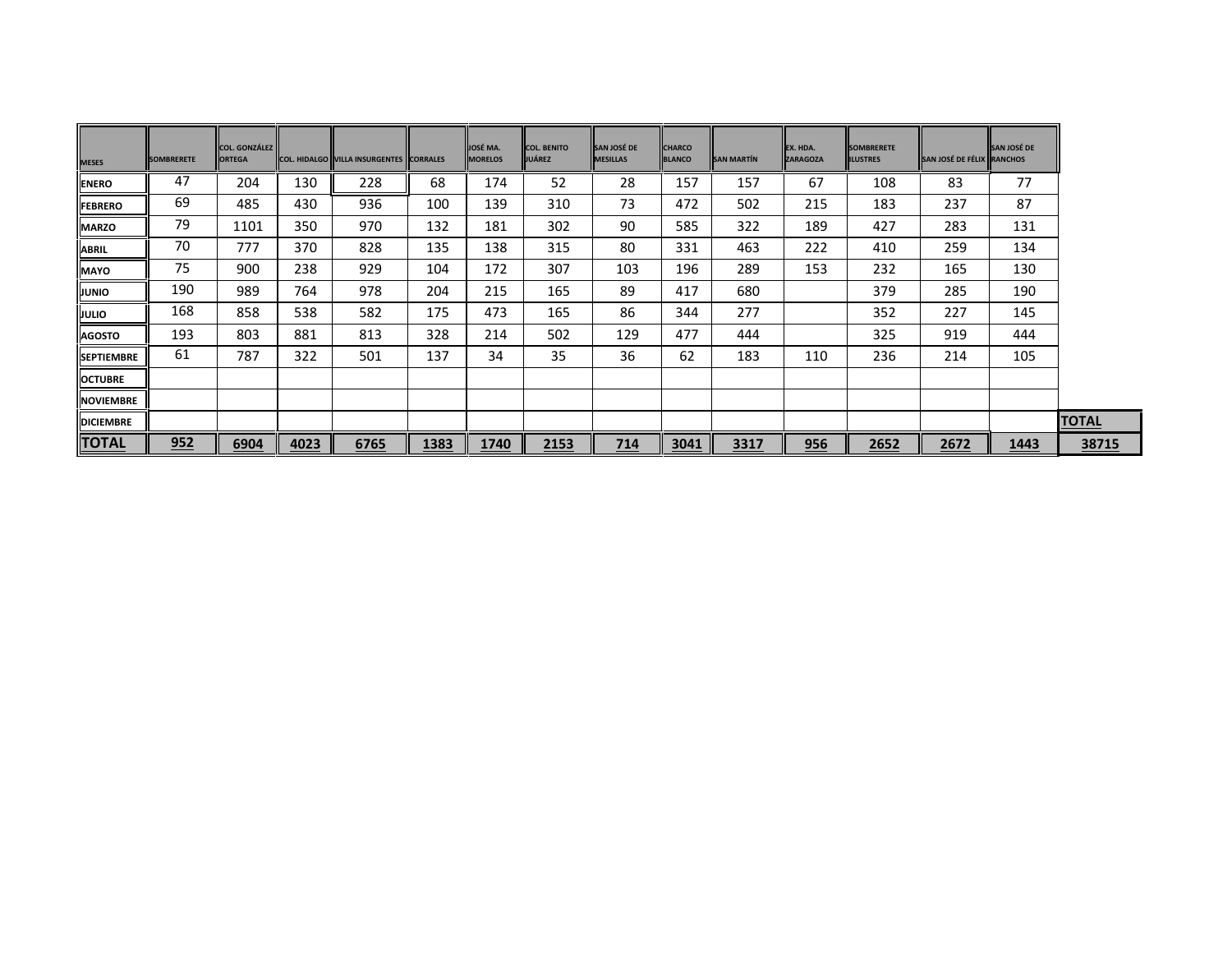| <b>MESES</b>      | <b>SOMBRERETE</b> | COL. GONZÁLEZ<br><b>ORTEGA</b> |      | COL. HIDALGO   VILLA INSURGENTES   CORRALES |      | JOSÉ MA.<br><b>MORELOS</b> | <b>COL. BENITO</b><br><b>JUÁREZ</b> | <b>SAN JOSÉ DE</b><br><b>MESILLAS</b> | <b>CHARCO</b><br><b>BLANCO</b> | <b>SAN MARTÍN</b> | EX. HDA.<br><b>ZARAGOZA</b> | <b>SOMBRERETE</b><br><b>ILUSTRES</b> | SAN JOSÉ DE FÉLIX RANCHOS | SAN JOSÉ DE |              |
|-------------------|-------------------|--------------------------------|------|---------------------------------------------|------|----------------------------|-------------------------------------|---------------------------------------|--------------------------------|-------------------|-----------------------------|--------------------------------------|---------------------------|-------------|--------------|
| <b>ENERO</b>      | 47                | 204                            | 130  | 228                                         | 68   | 174                        | 52                                  | 28                                    | 157                            | 157               | 67                          | 108                                  | 83                        | 77          |              |
| <b>FEBRERO</b>    | 69                | 485                            | 430  | 936                                         | 100  | 139                        | 310                                 | 73                                    | 472                            | 502               | 215                         | 183                                  | 237                       | 87          |              |
| <b>MARZO</b>      | 79                | 1101                           | 350  | 970                                         | 132  | 181                        | 302                                 | 90                                    | 585                            | 322               | 189                         | 427                                  | 283                       | 131         |              |
| <b>ABRIL</b>      | 70                | 777                            | 370  | 828                                         | 135  | 138                        | 315                                 | 80                                    | 331                            | 463               | 222                         | 410                                  | 259                       | 134         |              |
| <b>MAYO</b>       | 75                | 900                            | 238  | 929                                         | 104  | 172                        | 307                                 | 103                                   | 196                            | 289               | 153                         | 232                                  | 165                       | 130         |              |
| <b>JUNIO</b>      | 190               | 989                            | 764  | 978                                         | 204  | 215                        | 165                                 | 89                                    | 417                            | 680               |                             | 379                                  | 285                       | 190         |              |
| JULIO             | 168               | 858                            | 538  | 582                                         | 175  | 473                        | 165                                 | 86                                    | 344                            | 277               |                             | 352                                  | 227                       | 145         |              |
| <b>AGOSTO</b>     | 193               | 803                            | 881  | 813                                         | 328  | 214                        | 502                                 | 129                                   | 477                            | 444               |                             | 325                                  | 919                       | 444         |              |
| <b>SEPTIEMBRE</b> | 61                | 787                            | 322  | 501                                         | 137  | 34                         | 35                                  | 36                                    | 62                             | 183               | 110                         | 236                                  | 214                       | 105         |              |
| <b>OCTUBRE</b>    |                   |                                |      |                                             |      |                            |                                     |                                       |                                |                   |                             |                                      |                           |             |              |
| <b>NOVIEMBRE</b>  |                   |                                |      |                                             |      |                            |                                     |                                       |                                |                   |                             |                                      |                           |             |              |
| <b>DICIEMBRE</b>  |                   |                                |      |                                             |      |                            |                                     |                                       |                                |                   |                             |                                      |                           |             | <b>TOTAL</b> |
| <b>TOTAL</b>      | 952               | 6904                           | 4023 | 6765                                        | 1383 | 1740                       | 2153                                | 714                                   | 3041                           | 3317              | 956                         | 2652                                 | 2672                      | 1443        |              |